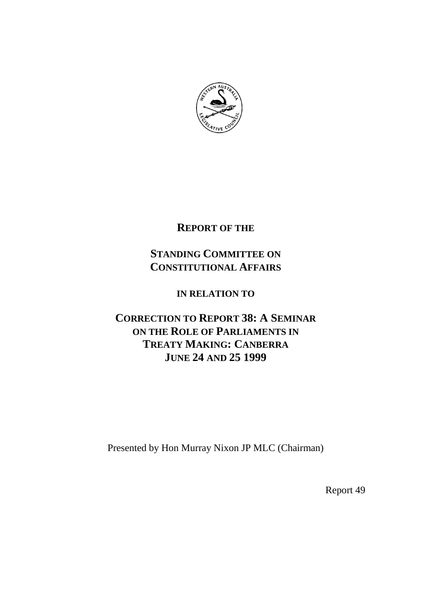

## **REPORT OF THE**

# **STANDING COMMITTEE ON CONSTITUTIONAL AFFAIRS**

## **IN RELATION TO**

# **CORRECTION TO REPORT 38: A SEMINAR ON THE ROLE OF PARLIAMENTS IN TREATY MAKING: CANBERRA JUNE 24 AND 25 1999**

Presented by Hon Murray Nixon JP MLC (Chairman)

Report 49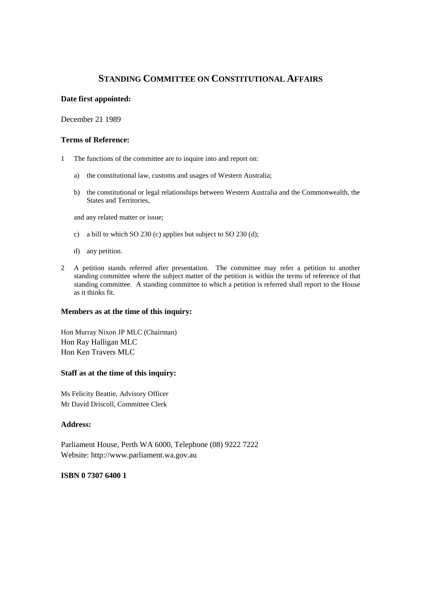## **STANDING COMMITTEE ON CONSTITUTIONAL AFFAIRS**

#### **Date first appointed:**

December 21 1989

#### **Terms of Reference:**

- 1 The functions of the committee are to inquire into and report on:
	- a) the constitutional law, customs and usages of Western Australia;
	- b) the constitutional or legal relationships between Western Australia and the Commonwealth, the States and Territories,

and any related matter or issue;

- c) a bill to which SO 230 (c) applies but subject to SO 230 (d);
- d) any petition.
- 2 A petition stands referred after presentation. The committee may refer a petition to another standing committee where the subject matter of the petition is within the terms of reference of that standing committee. A standing committee to which a petition is referred shall report to the House as it thinks fit.

#### **Members as at the time of this inquiry:**

Hon Murray Nixon JP MLC (Chairman) Hon Ray Halligan MLC Hon Ken Travers MLC

#### **Staff as at the time of this inquiry:**

Ms Felicity Beattie, Advisory Officer Mr David Driscoll, Committee Clerk

#### **Address:**

Parliament House, Perth WA 6000, Telephone (08) 9222 7222 Website: http://www.parliament.wa.gov.au

#### **ISBN 0 7307 6400 1**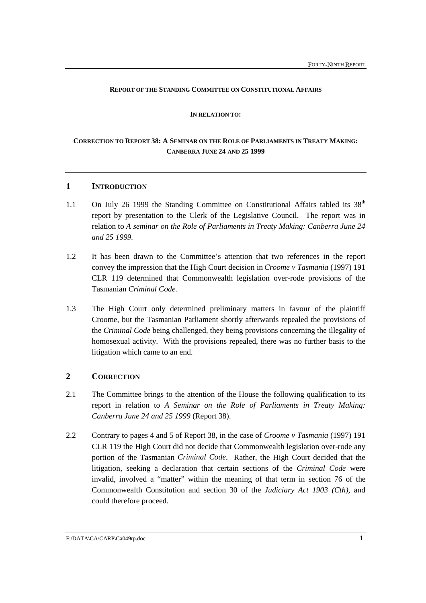#### **REPORT OF THE STANDING COMMITTEE ON CONSTITUTIONAL AFFAIRS**

#### **IN RELATION TO:**

## **CORRECTION TO REPORT 38: A SEMINAR ON THE ROLE OF PARLIAMENTS IN TREATY MAKING: CANBERRA JUNE 24 AND 25 1999**

### **1 INTRODUCTION**

- 1.1 On July 26 1999 the Standing Committee on Constitutional Affairs tabled its  $38<sup>th</sup>$ report by presentation to the Clerk of the Legislative Council. The report was in relation to *A seminar on the Role of Parliaments in Treaty Making: Canberra June 24 and 25 1999.*
- 1.2 It has been drawn to the Committee's attention that two references in the report convey the impression that the High Court decision in *Croome v Tasmania* (1997) 191 CLR 119 determined that Commonwealth legislation over-rode provisions of the Tasmanian *Criminal Code.*
- 1.3 The High Court only determined preliminary matters in favour of the plaintiff Croome, but the Tasmanian Parliament shortly afterwards repealed the provisions of the *Criminal Code* being challenged, they being provisions concerning the illegality of homosexual activity. With the provisions repealed, there was no further basis to the litigation which came to an end.

### **2 CORRECTION**

- 2.1 The Committee brings to the attention of the House the following qualification to its report in relation to *A Seminar on the Role of Parliaments in Treaty Making: Canberra June 24 and 25 1999* (Report 38).
- 2.2 Contrary to pages 4 and 5 of Report 38, in the case of *Croome v Tasmania* (1997) 191 CLR 119 the High Court did not decide that Commonwealth legislation over-rode any portion of the Tasmanian *Criminal Code*. Rather, the High Court decided that the litigation, seeking a declaration that certain sections of the *Criminal Code* were invalid, involved a "matter" within the meaning of that term in section 76 of the Commonwealth Constitution and section 30 of the *Judiciary Act 1903 (Cth)*, and could therefore proceed.